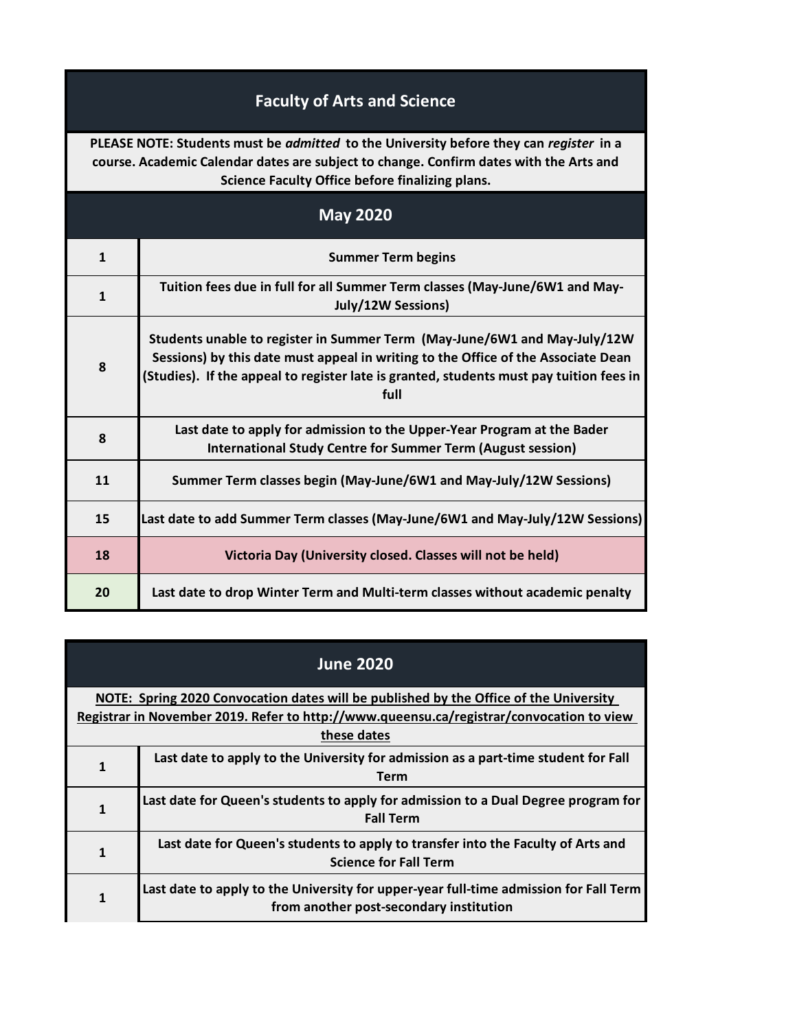## **Faculty of Arts and Science**

**PLEASE NOTE: Students must be** *admitted* **to the University before they can** *register* **in a course. Academic Calendar dates are subject to change. Confirm dates with the Arts and Science Faculty Office before finalizing plans.**

| <b>May 2020</b> |                                                                                                                                                                                                                                                                   |
|-----------------|-------------------------------------------------------------------------------------------------------------------------------------------------------------------------------------------------------------------------------------------------------------------|
| $\mathbf{1}$    | <b>Summer Term begins</b>                                                                                                                                                                                                                                         |
| $\mathbf{1}$    | Tuition fees due in full for all Summer Term classes (May-June/6W1 and May-<br>July/12W Sessions)                                                                                                                                                                 |
| 8               | Students unable to register in Summer Term (May-June/6W1 and May-July/12W<br>Sessions) by this date must appeal in writing to the Office of the Associate Dean<br>(Studies). If the appeal to register late is granted, students must pay tuition fees in<br>full |
| 8               | Last date to apply for admission to the Upper-Year Program at the Bader<br><b>International Study Centre for Summer Term (August session)</b>                                                                                                                     |
| 11              | Summer Term classes begin (May-June/6W1 and May-July/12W Sessions)                                                                                                                                                                                                |
| 15              | Last date to add Summer Term classes (May-June/6W1 and May-July/12W Sessions)                                                                                                                                                                                     |
| 18              | Victoria Day (University closed. Classes will not be held)                                                                                                                                                                                                        |
| 20              | Last date to drop Winter Term and Multi-term classes without academic penalty                                                                                                                                                                                     |

| <b>June 2020</b>                                                                                                                                                                                 |                                                                                                                                  |
|--------------------------------------------------------------------------------------------------------------------------------------------------------------------------------------------------|----------------------------------------------------------------------------------------------------------------------------------|
| NOTE: Spring 2020 Convocation dates will be published by the Office of the University<br>Registrar in November 2019. Refer to http://www.queensu.ca/registrar/convocation to view<br>these dates |                                                                                                                                  |
| 1                                                                                                                                                                                                | Last date to apply to the University for admission as a part-time student for Fall<br><b>Term</b>                                |
| 1                                                                                                                                                                                                | Last date for Queen's students to apply for admission to a Dual Degree program for<br><b>Fall Term</b>                           |
| 1                                                                                                                                                                                                | Last date for Queen's students to apply to transfer into the Faculty of Arts and<br><b>Science for Fall Term</b>                 |
|                                                                                                                                                                                                  | Last date to apply to the University for upper-year full-time admission for Fall Term<br>from another post-secondary institution |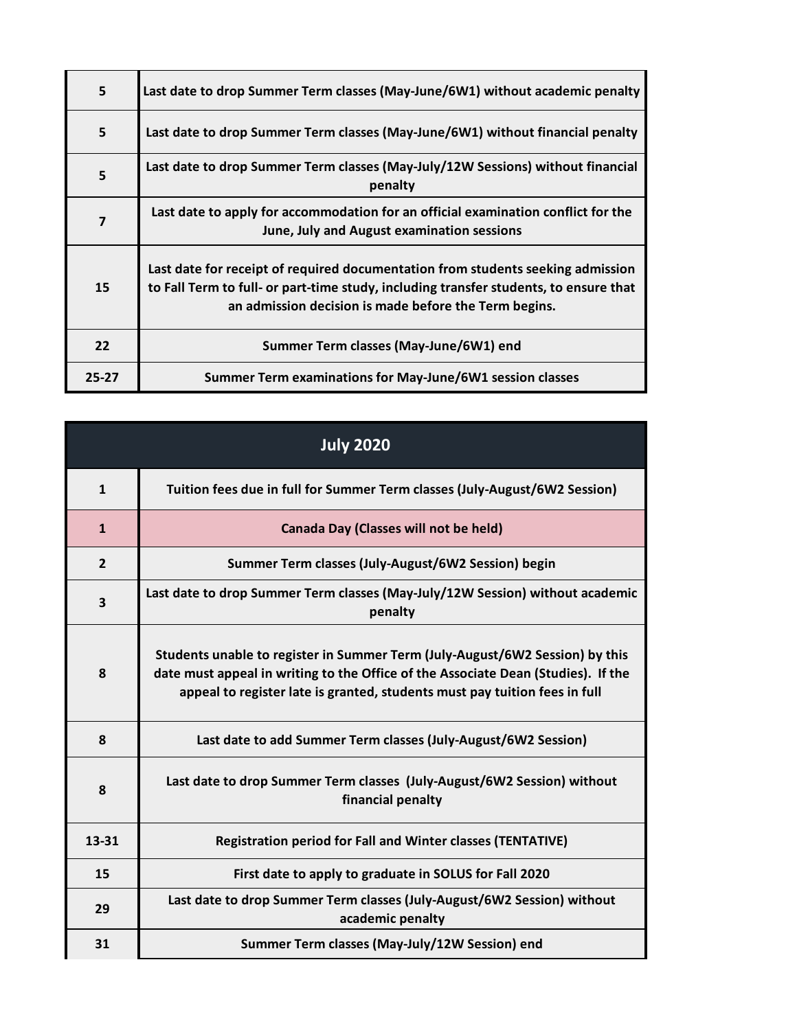| 5         | Last date to drop Summer Term classes (May-June/6W1) without academic penalty                                                                                                                                                     |
|-----------|-----------------------------------------------------------------------------------------------------------------------------------------------------------------------------------------------------------------------------------|
| 5         | Last date to drop Summer Term classes (May-June/6W1) without financial penalty                                                                                                                                                    |
| 5         | Last date to drop Summer Term classes (May-July/12W Sessions) without financial<br>penalty                                                                                                                                        |
| 7         | Last date to apply for accommodation for an official examination conflict for the<br>June, July and August examination sessions                                                                                                   |
| 15        | Last date for receipt of required documentation from students seeking admission<br>to Fall Term to full- or part-time study, including transfer students, to ensure that<br>an admission decision is made before the Term begins. |
| 22        | Summer Term classes (May-June/6W1) end                                                                                                                                                                                            |
| $25 - 27$ | Summer Term examinations for May-June/6W1 session classes                                                                                                                                                                         |

| <b>July 2020</b> |                                                                                                                                                                                                                                                 |
|------------------|-------------------------------------------------------------------------------------------------------------------------------------------------------------------------------------------------------------------------------------------------|
| $\mathbf{1}$     | Tuition fees due in full for Summer Term classes (July-August/6W2 Session)                                                                                                                                                                      |
| $\mathbf{1}$     | Canada Day (Classes will not be held)                                                                                                                                                                                                           |
| $\overline{2}$   | Summer Term classes (July-August/6W2 Session) begin                                                                                                                                                                                             |
| 3                | Last date to drop Summer Term classes (May-July/12W Session) without academic<br>penalty                                                                                                                                                        |
| 8                | Students unable to register in Summer Term (July-August/6W2 Session) by this<br>date must appeal in writing to the Office of the Associate Dean (Studies). If the<br>appeal to register late is granted, students must pay tuition fees in full |
| 8                | Last date to add Summer Term classes (July-August/6W2 Session)                                                                                                                                                                                  |
| 8                | Last date to drop Summer Term classes (July-August/6W2 Session) without<br>financial penalty                                                                                                                                                    |
| 13-31            | <b>Registration period for Fall and Winter classes (TENTATIVE)</b>                                                                                                                                                                              |
| 15               | First date to apply to graduate in SOLUS for Fall 2020                                                                                                                                                                                          |
| 29               | Last date to drop Summer Term classes (July-August/6W2 Session) without<br>academic penalty                                                                                                                                                     |
| 31               | Summer Term classes (May-July/12W Session) end                                                                                                                                                                                                  |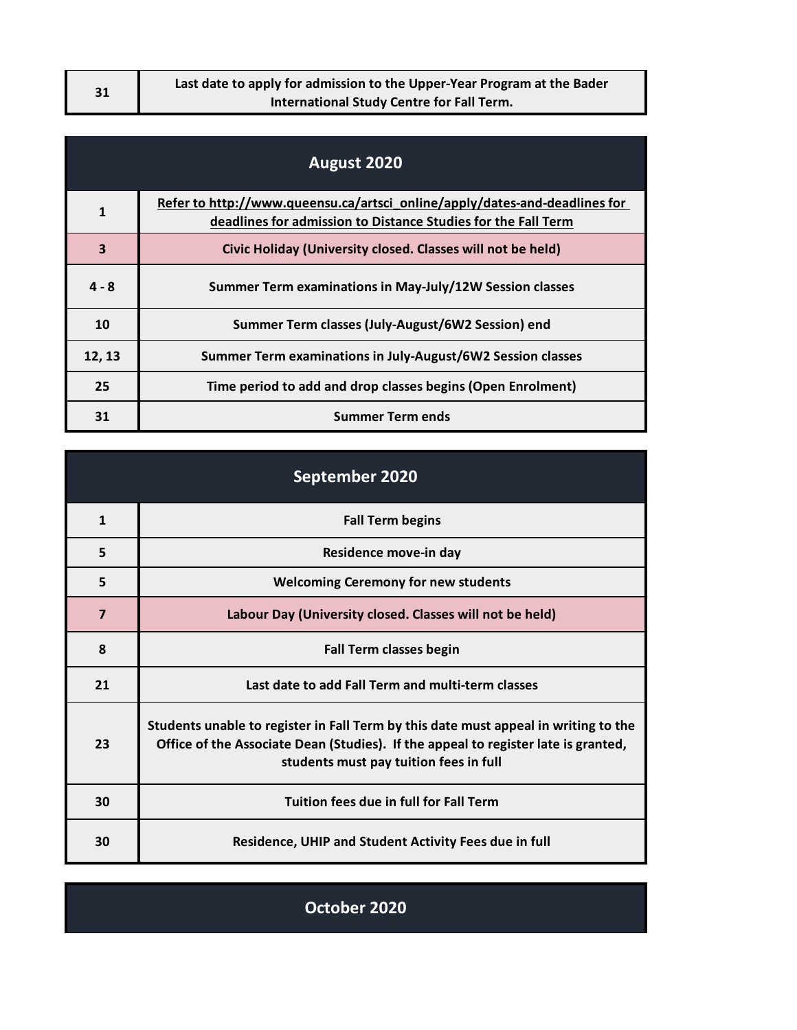| 31 | Last date to apply for admission to the Upper-Year Program at the Bader |
|----|-------------------------------------------------------------------------|
|    | International Study Centre for Fall Term.                               |

| August 2020  |                                                                                                                                             |
|--------------|---------------------------------------------------------------------------------------------------------------------------------------------|
| $\mathbf{1}$ | Refer to http://www.queensu.ca/artsci_online/apply/dates-and-deadlines for<br>deadlines for admission to Distance Studies for the Fall Term |
| 3            | Civic Holiday (University closed. Classes will not be held)                                                                                 |
| $4 - 8$      | Summer Term examinations in May-July/12W Session classes                                                                                    |
| 10           | Summer Term classes (July-August/6W2 Session) end                                                                                           |
| 12, 13       | Summer Term examinations in July-August/6W2 Session classes                                                                                 |
| 25           | Time period to add and drop classes begins (Open Enrolment)                                                                                 |
| 31           | <b>Summer Term ends</b>                                                                                                                     |

| September 2020 |                                                                                                                                                                                                                     |
|----------------|---------------------------------------------------------------------------------------------------------------------------------------------------------------------------------------------------------------------|
| $\mathbf{1}$   | <b>Fall Term begins</b>                                                                                                                                                                                             |
| 5              | Residence move-in day                                                                                                                                                                                               |
| 5              | <b>Welcoming Ceremony for new students</b>                                                                                                                                                                          |
| $\overline{7}$ | Labour Day (University closed. Classes will not be held)                                                                                                                                                            |
| 8              | <b>Fall Term classes begin</b>                                                                                                                                                                                      |
| 21             | Last date to add Fall Term and multi-term classes                                                                                                                                                                   |
| 23             | Students unable to register in Fall Term by this date must appeal in writing to the<br>Office of the Associate Dean (Studies). If the appeal to register late is granted,<br>students must pay tuition fees in full |
| 30             | <b>Tuition fees due in full for Fall Term</b>                                                                                                                                                                       |
| 30             | <b>Residence, UHIP and Student Activity Fees due in full</b>                                                                                                                                                        |

**October 2020**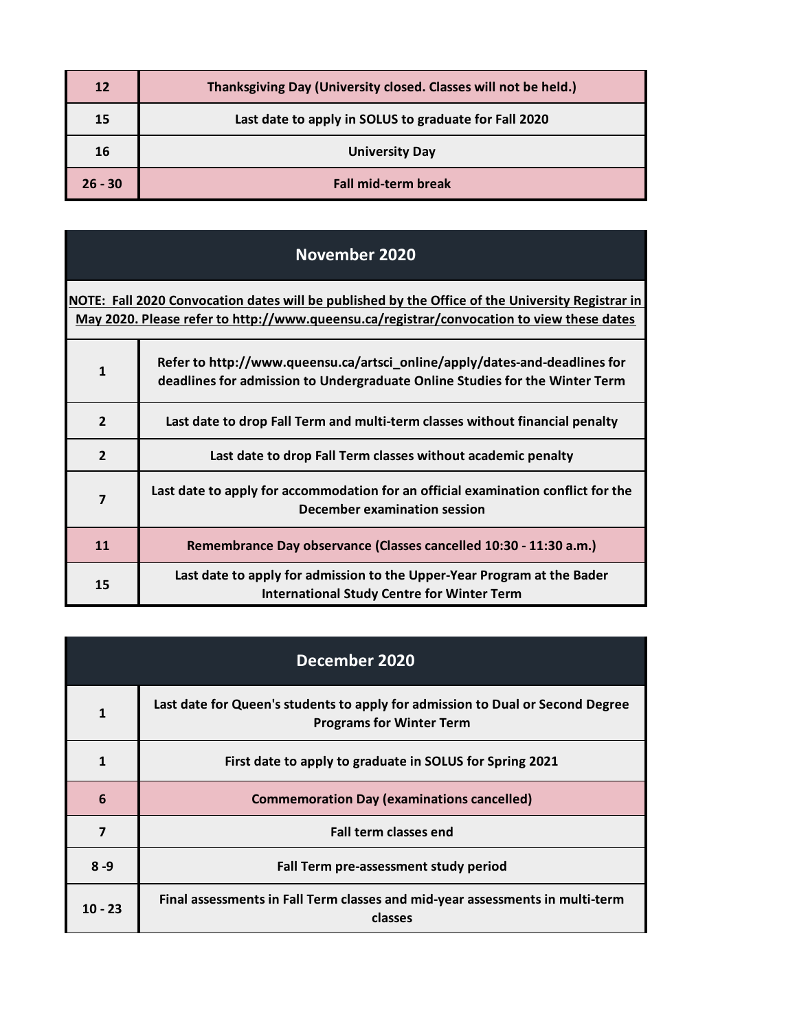| 12        | Thanksgiving Day (University closed. Classes will not be held.) |
|-----------|-----------------------------------------------------------------|
| 15        | Last date to apply in SOLUS to graduate for Fall 2020           |
| 16        | <b>University Day</b>                                           |
| $26 - 30$ | <b>Fall mid-term break</b>                                      |

## **November 2020**

**[NOTE: Fall 2](http://www.queensu.ca/registrar/convocation)020 Convocation dates will be published by the Office of the University Registrar in [May 2020.](http://www.queensu.ca/registrar/convocation) Please refer to http://www.queensu.ca/registrar/convocation to view these dates**

| $\mathbf{1}$   | Refer to http://www.queensu.ca/artsci_online/apply/dates-and-deadlines for<br>deadlines for admission to Undergraduate Online Studies for the Winter Term |
|----------------|-----------------------------------------------------------------------------------------------------------------------------------------------------------|
| $\overline{2}$ | Last date to drop Fall Term and multi-term classes without financial penalty                                                                              |
| $\overline{2}$ | Last date to drop Fall Term classes without academic penalty                                                                                              |
| $\overline{7}$ | Last date to apply for accommodation for an official examination conflict for the<br>December examination session                                         |
| 11             | Remembrance Day observance (Classes cancelled 10:30 - 11:30 a.m.)                                                                                         |
| 15             | Last date to apply for admission to the Upper-Year Program at the Bader<br><b>International Study Centre for Winter Term</b>                              |

| December 2020 |                                                                                                                   |
|---------------|-------------------------------------------------------------------------------------------------------------------|
| $\mathbf{1}$  | Last date for Queen's students to apply for admission to Dual or Second Degree<br><b>Programs for Winter Term</b> |
| 1             | First date to apply to graduate in SOLUS for Spring 2021                                                          |
| 6             | <b>Commemoration Day (examinations cancelled)</b>                                                                 |
| 7             | <b>Fall term classes end</b>                                                                                      |
| $8 - 9$       | Fall Term pre-assessment study period                                                                             |
| $10 - 23$     | Final assessments in Fall Term classes and mid-year assessments in multi-term<br>classes                          |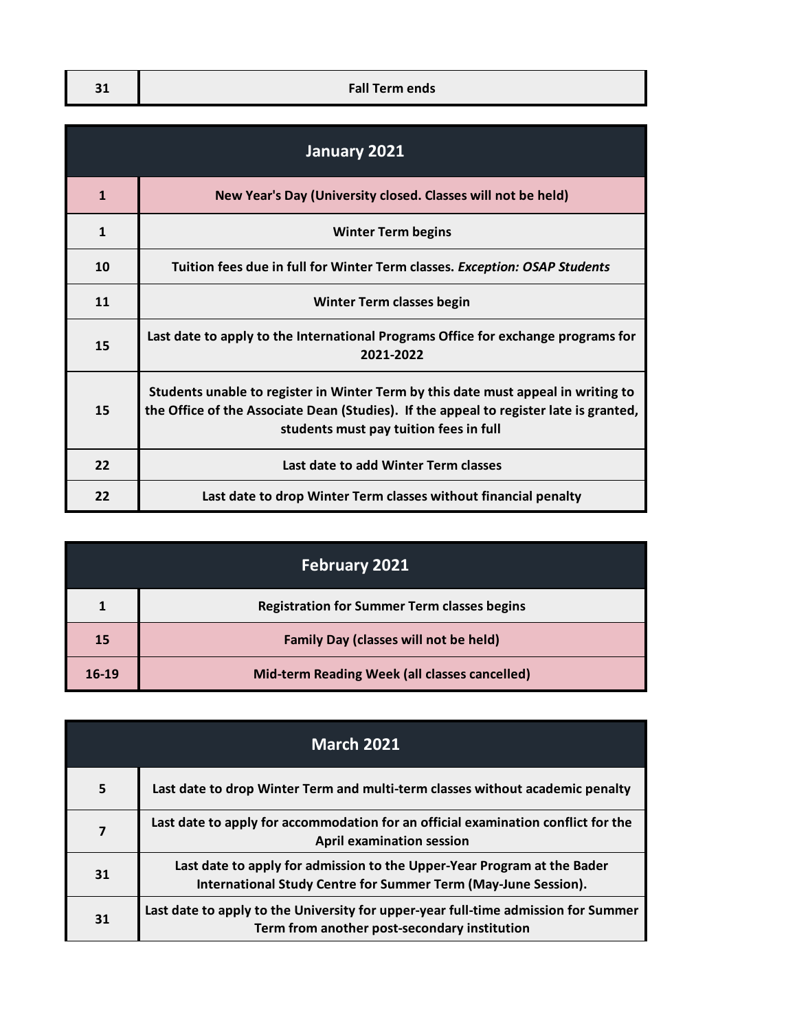| <b>Fall Term ends</b> |
|-----------------------|

| January 2021 |                                                                                                                                                                                                                       |
|--------------|-----------------------------------------------------------------------------------------------------------------------------------------------------------------------------------------------------------------------|
| $\mathbf{1}$ | New Year's Day (University closed. Classes will not be held)                                                                                                                                                          |
| $\mathbf{1}$ | <b>Winter Term begins</b>                                                                                                                                                                                             |
| 10           | Tuition fees due in full for Winter Term classes. Exception: OSAP Students                                                                                                                                            |
| 11           | <b>Winter Term classes begin</b>                                                                                                                                                                                      |
| 15           | Last date to apply to the International Programs Office for exchange programs for<br>2021-2022                                                                                                                        |
| 15           | Students unable to register in Winter Term by this date must appeal in writing to<br>the Office of the Associate Dean (Studies). If the appeal to register late is granted,<br>students must pay tuition fees in full |
| 22           | Last date to add Winter Term classes                                                                                                                                                                                  |
| 22           | Last date to drop Winter Term classes without financial penalty                                                                                                                                                       |

| <b>February 2021</b> |                                                    |
|----------------------|----------------------------------------------------|
|                      | <b>Registration for Summer Term classes begins</b> |
| 15                   | <b>Family Day (classes will not be held)</b>       |
| $16-19$              | Mid-term Reading Week (all classes cancelled)      |

| <b>March 2021</b> |                                                                                                                                           |
|-------------------|-------------------------------------------------------------------------------------------------------------------------------------------|
| 5                 | Last date to drop Winter Term and multi-term classes without academic penalty                                                             |
| 7                 | Last date to apply for accommodation for an official examination conflict for the<br><b>April examination session</b>                     |
| 31                | Last date to apply for admission to the Upper-Year Program at the Bader<br>International Study Centre for Summer Term (May-June Session). |
| 31                | Last date to apply to the University for upper-year full-time admission for Summer<br>Term from another post-secondary institution        |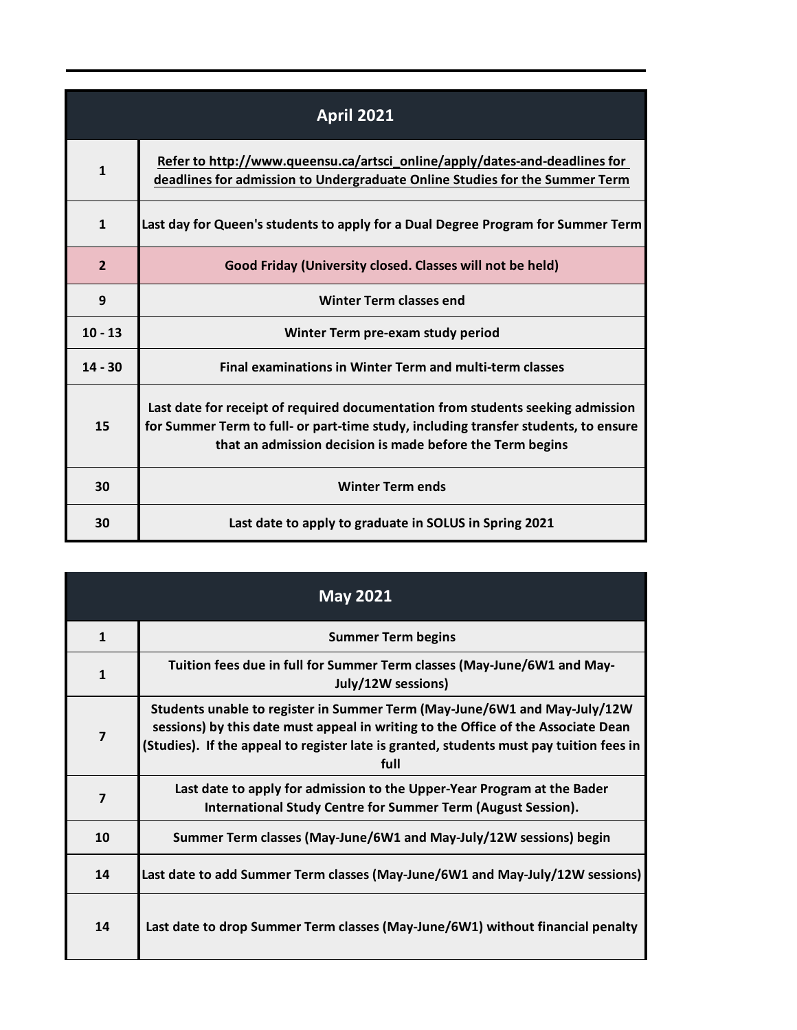| <b>April 2021</b> |                                                                                                                                                                                                                                     |
|-------------------|-------------------------------------------------------------------------------------------------------------------------------------------------------------------------------------------------------------------------------------|
| 1                 | Refer to http://www.queensu.ca/artsci_online/apply/dates-and-deadlines for<br>deadlines for admission to Undergraduate Online Studies for the Summer Term                                                                           |
| $\mathbf{1}$      | Last day for Queen's students to apply for a Dual Degree Program for Summer Term                                                                                                                                                    |
| $\overline{2}$    | Good Friday (University closed. Classes will not be held)                                                                                                                                                                           |
| 9                 | <b>Winter Term classes end</b>                                                                                                                                                                                                      |
| $10 - 13$         | Winter Term pre-exam study period                                                                                                                                                                                                   |
| $14 - 30$         | <b>Final examinations in Winter Term and multi-term classes</b>                                                                                                                                                                     |
| 15                | Last date for receipt of required documentation from students seeking admission<br>for Summer Term to full- or part-time study, including transfer students, to ensure<br>that an admission decision is made before the Term begins |
| 30                | <b>Winter Term ends</b>                                                                                                                                                                                                             |
| 30                | Last date to apply to graduate in SOLUS in Spring 2021                                                                                                                                                                              |

| <b>May 2021</b>         |                                                                                                                                                                                                                                                                   |
|-------------------------|-------------------------------------------------------------------------------------------------------------------------------------------------------------------------------------------------------------------------------------------------------------------|
| $\mathbf{1}$            | <b>Summer Term begins</b>                                                                                                                                                                                                                                         |
| $\mathbf{1}$            | Tuition fees due in full for Summer Term classes (May-June/6W1 and May-<br>July/12W sessions)                                                                                                                                                                     |
| $\overline{7}$          | Students unable to register in Summer Term (May-June/6W1 and May-July/12W<br>sessions) by this date must appeal in writing to the Office of the Associate Dean<br>(Studies). If the appeal to register late is granted, students must pay tuition fees in<br>full |
| $\overline{\mathbf{z}}$ | Last date to apply for admission to the Upper-Year Program at the Bader<br>International Study Centre for Summer Term (August Session).                                                                                                                           |
| 10                      | Summer Term classes (May-June/6W1 and May-July/12W sessions) begin                                                                                                                                                                                                |
| 14                      | Last date to add Summer Term classes (May-June/6W1 and May-July/12W sessions)                                                                                                                                                                                     |
| 14                      | Last date to drop Summer Term classes (May-June/6W1) without financial penalty                                                                                                                                                                                    |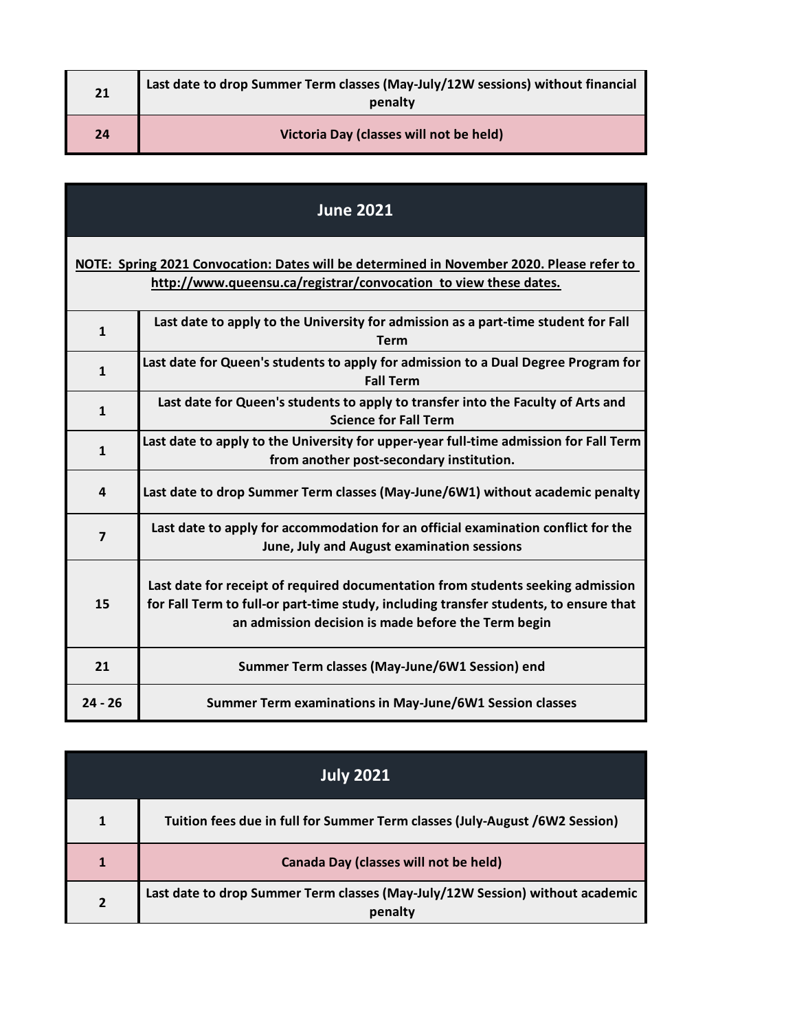| 21 | Last date to drop Summer Term classes (May-July/12W sessions) without financial<br>penalty |
|----|--------------------------------------------------------------------------------------------|
| 24 | Victoria Day (classes will not be held)                                                    |

| <b>June 2021</b>                                                                                                                                              |                                                                                                                                                                                                                                 |
|---------------------------------------------------------------------------------------------------------------------------------------------------------------|---------------------------------------------------------------------------------------------------------------------------------------------------------------------------------------------------------------------------------|
| NOTE: Spring 2021 Convocation: Dates will be determined in November 2020. Please refer to<br>http://www.queensu.ca/registrar/convocation to view these dates. |                                                                                                                                                                                                                                 |
| $\mathbf{1}$                                                                                                                                                  | Last date to apply to the University for admission as a part-time student for Fall<br><b>Term</b>                                                                                                                               |
| $\mathbf{1}$                                                                                                                                                  | Last date for Queen's students to apply for admission to a Dual Degree Program for<br><b>Fall Term</b>                                                                                                                          |
| $\mathbf{1}$                                                                                                                                                  | Last date for Queen's students to apply to transfer into the Faculty of Arts and<br><b>Science for Fall Term</b>                                                                                                                |
| $\mathbf{1}$                                                                                                                                                  | Last date to apply to the University for upper-year full-time admission for Fall Term<br>from another post-secondary institution.                                                                                               |
| 4                                                                                                                                                             | Last date to drop Summer Term classes (May-June/6W1) without academic penalty                                                                                                                                                   |
| $\overline{7}$                                                                                                                                                | Last date to apply for accommodation for an official examination conflict for the<br>June, July and August examination sessions                                                                                                 |
| 15                                                                                                                                                            | Last date for receipt of required documentation from students seeking admission<br>for Fall Term to full-or part-time study, including transfer students, to ensure that<br>an admission decision is made before the Term begin |
| 21                                                                                                                                                            | Summer Term classes (May-June/6W1 Session) end                                                                                                                                                                                  |
| $24 - 26$                                                                                                                                                     | Summer Term examinations in May-June/6W1 Session classes                                                                                                                                                                        |

| <b>July 2021</b> |                                                                                          |
|------------------|------------------------------------------------------------------------------------------|
|                  | Tuition fees due in full for Summer Term classes (July-August /6W2 Session)              |
|                  | Canada Day (classes will not be held)                                                    |
| $\mathbf{z}$     | Last date to drop Summer Term classes (May-July/12W Session) without academic<br>penalty |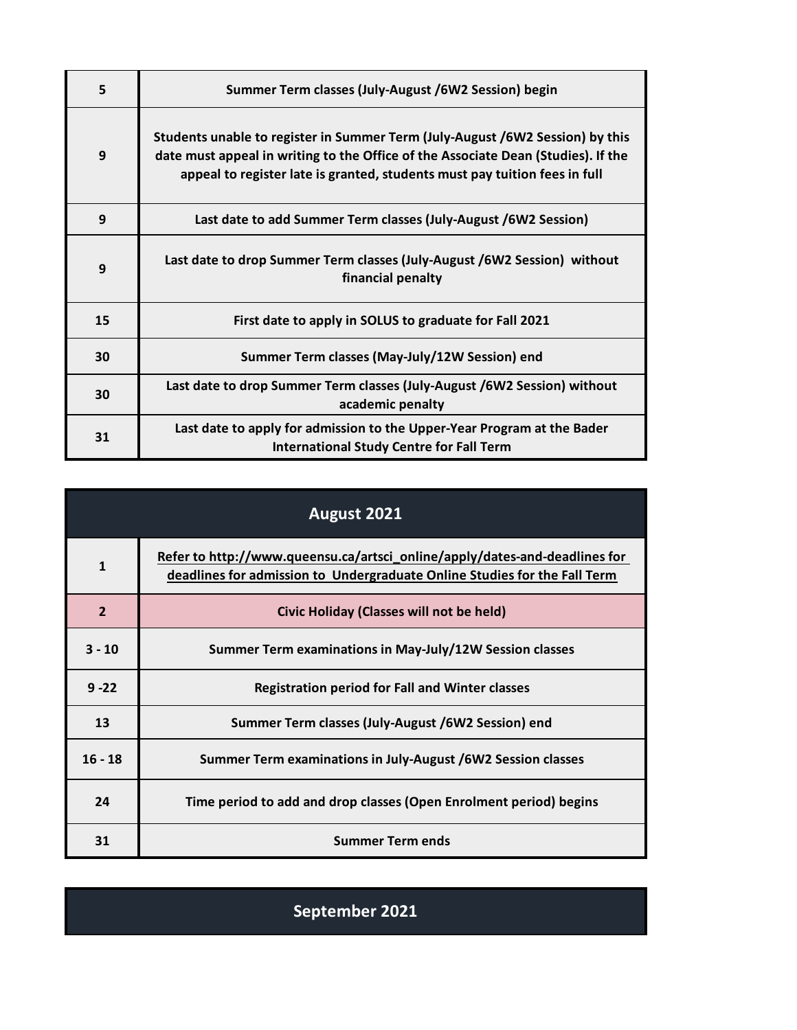| 5  | Summer Term classes (July-August /6W2 Session) begin                                                                                                                                                                                             |
|----|--------------------------------------------------------------------------------------------------------------------------------------------------------------------------------------------------------------------------------------------------|
| 9  | Students unable to register in Summer Term (July-August /6W2 Session) by this<br>date must appeal in writing to the Office of the Associate Dean (Studies). If the<br>appeal to register late is granted, students must pay tuition fees in full |
| 9  | Last date to add Summer Term classes (July-August /6W2 Session)                                                                                                                                                                                  |
| 9  | Last date to drop Summer Term classes (July-August /6W2 Session) without<br>financial penalty                                                                                                                                                    |
| 15 | First date to apply in SOLUS to graduate for Fall 2021                                                                                                                                                                                           |
| 30 | Summer Term classes (May-July/12W Session) end                                                                                                                                                                                                   |
| 30 | Last date to drop Summer Term classes (July-August /6W2 Session) without<br>academic penalty                                                                                                                                                     |
| 31 | Last date to apply for admission to the Upper-Year Program at the Bader<br><b>International Study Centre for Fall Term</b>                                                                                                                       |

| August 2021    |                                                                                                                                                         |
|----------------|---------------------------------------------------------------------------------------------------------------------------------------------------------|
| 1              | Refer to http://www.queensu.ca/artsci_online/apply/dates-and-deadlines for<br>deadlines for admission to Undergraduate Online Studies for the Fall Term |
| $\overline{2}$ | <b>Civic Holiday (Classes will not be held)</b>                                                                                                         |
| $3 - 10$       | Summer Term examinations in May-July/12W Session classes                                                                                                |
| $9 - 22$       | <b>Registration period for Fall and Winter classes</b>                                                                                                  |
| 13             | Summer Term classes (July-August /6W2 Session) end                                                                                                      |
| $16 - 18$      | Summer Term examinations in July-August /6W2 Session classes                                                                                            |
| 24             | Time period to add and drop classes (Open Enrolment period) begins                                                                                      |
| 31             | <b>Summer Term ends</b>                                                                                                                                 |

**September 2021**